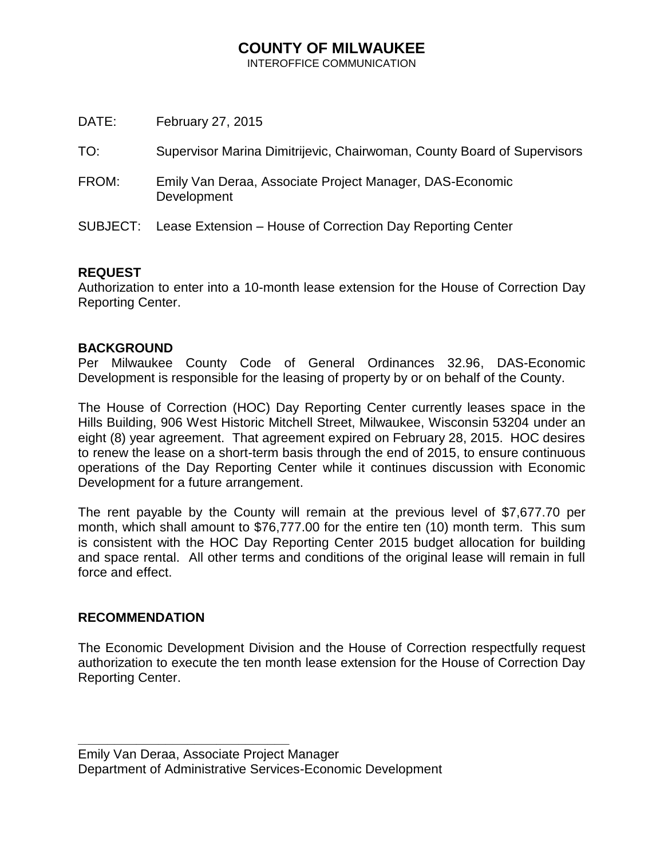## **COUNTY OF MILWAUKEE**

INTEROFFICE COMMUNICATION

| February 27, 2015                                                       |
|-------------------------------------------------------------------------|
| Supervisor Marina Dimitrijevic, Chairwoman, County Board of Supervisors |
| Emily Van Deraa, Associate Project Manager, DAS-Economic<br>Development |
| Lease Extension – House of Correction Day Reporting Center              |
|                                                                         |

## **REQUEST**

Authorization to enter into a 10-month lease extension for the House of Correction Day Reporting Center.

## **BACKGROUND**

Per Milwaukee County Code of General Ordinances 32.96, DAS-Economic Development is responsible for the leasing of property by or on behalf of the County.

The House of Correction (HOC) Day Reporting Center currently leases space in the Hills Building, 906 West Historic Mitchell Street, Milwaukee, Wisconsin 53204 under an eight (8) year agreement. That agreement expired on February 28, 2015. HOC desires to renew the lease on a short-term basis through the end of 2015, to ensure continuous operations of the Day Reporting Center while it continues discussion with Economic Development for a future arrangement.

The rent payable by the County will remain at the previous level of \$7,677.70 per month, which shall amount to \$76,777.00 for the entire ten (10) month term. This sum is consistent with the HOC Day Reporting Center 2015 budget allocation for building and space rental. All other terms and conditions of the original lease will remain in full force and effect.

## **RECOMMENDATION**

**\_\_\_\_\_\_\_\_\_\_\_\_\_\_\_\_\_\_\_\_\_\_\_\_\_\_\_\_\_**

The Economic Development Division and the House of Correction respectfully request authorization to execute the ten month lease extension for the House of Correction Day Reporting Center.

Emily Van Deraa, Associate Project Manager Department of Administrative Services-Economic Development